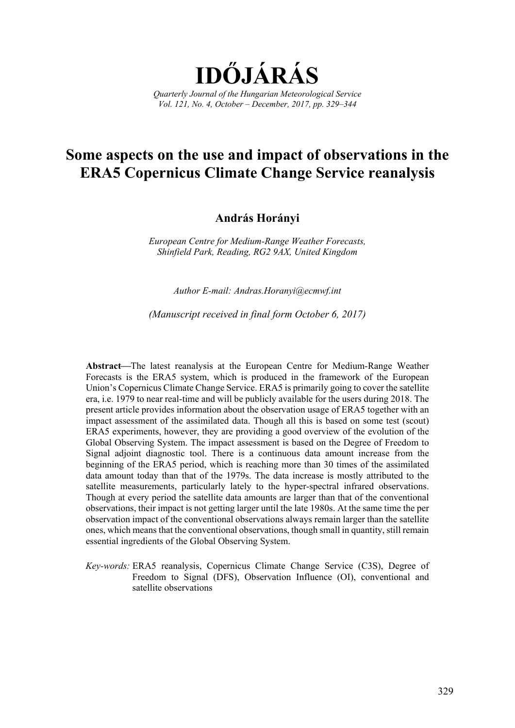

# **Some aspects on the use and impact of observations in the ERA5 Copernicus Climate Change Service reanalysis**

## **András Horányi**

*European Centre for Medium-Range Weather Forecasts, Shinfield Park, Reading, RG2 9AX, United Kingdom* 

*Author E-mail: Andras.Horanyi@ecmwf.int* 

*(Manuscript received in final form October 6, 2017)* 

Abstract—The latest reanalysis at the European Centre for Medium-Range Weather Forecasts is the ERA5 system, which is produced in the framework of the European Union's Copernicus Climate Change Service. ERA5 is primarily going to cover the satellite era, i.e. 1979 to near real-time and will be publicly available for the users during 2018. The present article provides information about the observation usage of ERA5 together with an impact assessment of the assimilated data. Though all this is based on some test (scout) ERA5 experiments, however, they are providing a good overview of the evolution of the Global Observing System. The impact assessment is based on the Degree of Freedom to Signal adjoint diagnostic tool. There is a continuous data amount increase from the beginning of the ERA5 period, which is reaching more than 30 times of the assimilated data amount today than that of the 1979s. The data increase is mostly attributed to the satellite measurements, particularly lately to the hyper-spectral infrared observations. Though at every period the satellite data amounts are larger than that of the conventional observations, their impact is not getting larger until the late 1980s. At the same time the per observation impact of the conventional observations always remain larger than the satellite ones, which means that the conventional observations, though small in quantity, still remain essential ingredients of the Global Observing System.

*Key-words:* ERA5 reanalysis, Copernicus Climate Change Service (C3S), Degree of Freedom to Signal (DFS), Observation Influence (OI), conventional and satellite observations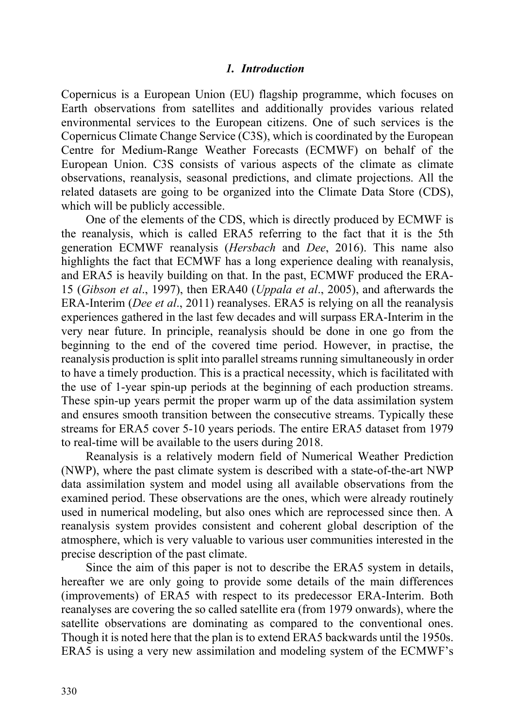## *1. Introduction*

Copernicus is a European Union (EU) flagship programme, which focuses on Earth observations from satellites and additionally provides various related environmental services to the European citizens. One of such services is the Copernicus Climate Change Service (C3S), which is coordinated by the European Centre for Medium-Range Weather Forecasts (ECMWF) on behalf of the European Union. C3S consists of various aspects of the climate as climate observations, reanalysis, seasonal predictions, and climate projections. All the related datasets are going to be organized into the Climate Data Store (CDS), which will be publicly accessible.

One of the elements of the CDS, which is directly produced by ECMWF is the reanalysis, which is called ERA5 referring to the fact that it is the 5th generation ECMWF reanalysis (*Hersbach* and *Dee*, 2016). This name also highlights the fact that ECMWF has a long experience dealing with reanalysis, and ERA5 is heavily building on that. In the past, ECMWF produced the ERA-15 (*Gibson et al*., 1997), then ERA40 (*Uppala et al*., 2005), and afterwards the ERA-Interim (*Dee et al*., 2011) reanalyses. ERA5 is relying on all the reanalysis experiences gathered in the last few decades and will surpass ERA-Interim in the very near future. In principle, reanalysis should be done in one go from the beginning to the end of the covered time period. However, in practise, the reanalysis production is split into parallel streams running simultaneously in order to have a timely production. This is a practical necessity, which is facilitated with the use of 1-year spin-up periods at the beginning of each production streams. These spin-up years permit the proper warm up of the data assimilation system and ensures smooth transition between the consecutive streams. Typically these streams for ERA5 cover 5-10 years periods. The entire ERA5 dataset from 1979 to real-time will be available to the users during 2018.

Reanalysis is a relatively modern field of Numerical Weather Prediction (NWP), where the past climate system is described with a state-of-the-art NWP data assimilation system and model using all available observations from the examined period. These observations are the ones, which were already routinely used in numerical modeling, but also ones which are reprocessed since then. A reanalysis system provides consistent and coherent global description of the atmosphere, which is very valuable to various user communities interested in the precise description of the past climate.

Since the aim of this paper is not to describe the ERA5 system in details, hereafter we are only going to provide some details of the main differences (improvements) of ERA5 with respect to its predecessor ERA-Interim. Both reanalyses are covering the so called satellite era (from 1979 onwards), where the satellite observations are dominating as compared to the conventional ones. Though it is noted here that the plan is to extend ERA5 backwards until the 1950s. ERA5 is using a very new assimilation and modeling system of the ECMWF's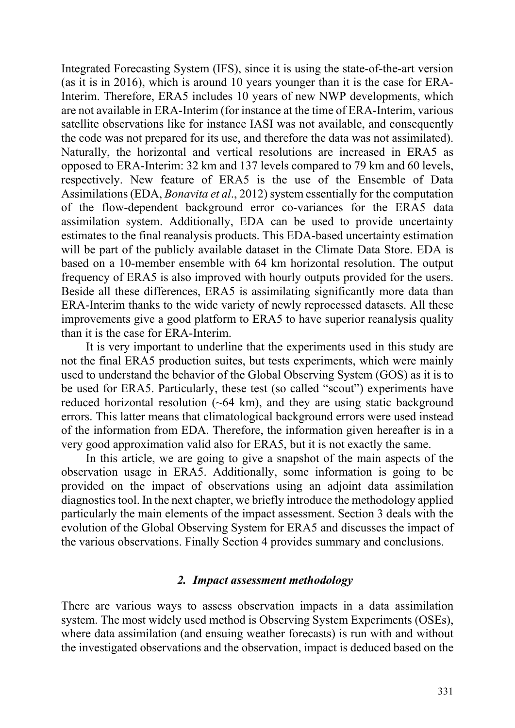Integrated Forecasting System (IFS), since it is using the state-of-the-art version (as it is in 2016), which is around 10 years younger than it is the case for ERA-Interim. Therefore, ERA5 includes 10 years of new NWP developments, which are not available in ERA-Interim (for instance at the time of ERA-Interim, various satellite observations like for instance IASI was not available, and consequently the code was not prepared for its use, and therefore the data was not assimilated). Naturally, the horizontal and vertical resolutions are increased in ERA5 as opposed to ERA-Interim: 32 km and 137 levels compared to 79 km and 60 levels, respectively. New feature of ERA5 is the use of the Ensemble of Data Assimilations (EDA, *Bonavita et al*., 2012) system essentially for the computation of the flow-dependent background error co-variances for the ERA5 data assimilation system. Additionally, EDA can be used to provide uncertainty estimates to the final reanalysis products. This EDA-based uncertainty estimation will be part of the publicly available dataset in the Climate Data Store. EDA is based on a 10-member ensemble with 64 km horizontal resolution. The output frequency of ERA5 is also improved with hourly outputs provided for the users. Beside all these differences, ERA5 is assimilating significantly more data than ERA-Interim thanks to the wide variety of newly reprocessed datasets. All these improvements give a good platform to ERA5 to have superior reanalysis quality than it is the case for ERA-Interim.

It is very important to underline that the experiments used in this study are not the final ERA5 production suites, but tests experiments, which were mainly used to understand the behavior of the Global Observing System (GOS) as it is to be used for ERA5. Particularly, these test (so called "scout") experiments have reduced horizontal resolution (~64 km), and they are using static background errors. This latter means that climatological background errors were used instead of the information from EDA. Therefore, the information given hereafter is in a very good approximation valid also for ERA5, but it is not exactly the same.

In this article, we are going to give a snapshot of the main aspects of the observation usage in ERA5. Additionally, some information is going to be provided on the impact of observations using an adjoint data assimilation diagnostics tool. In the next chapter, we briefly introduce the methodology applied particularly the main elements of the impact assessment. Section 3 deals with the evolution of the Global Observing System for ERA5 and discusses the impact of the various observations. Finally Section 4 provides summary and conclusions.

## *2. Impact assessment methodology*

There are various ways to assess observation impacts in a data assimilation system. The most widely used method is Observing System Experiments (OSEs), where data assimilation (and ensuing weather forecasts) is run with and without the investigated observations and the observation, impact is deduced based on the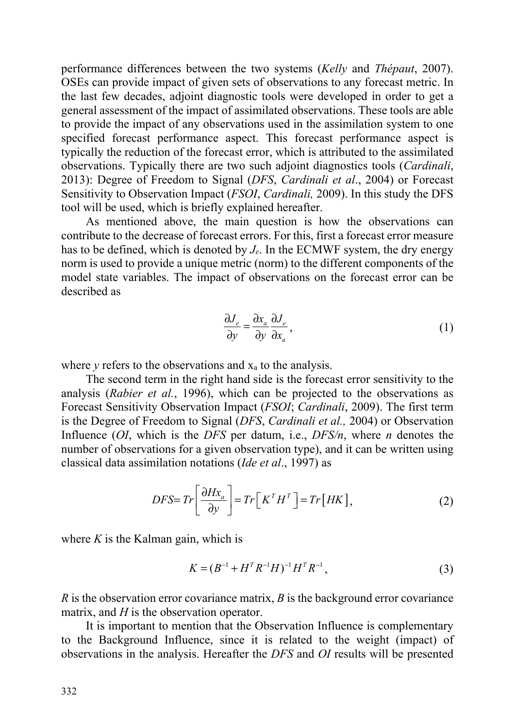performance differences between the two systems (*Kelly* and *Thépaut*, 2007). OSEs can provide impact of given sets of observations to any forecast metric. In the last few decades, adjoint diagnostic tools were developed in order to get a general assessment of the impact of assimilated observations. These tools are able to provide the impact of any observations used in the assimilation system to one specified forecast performance aspect. This forecast performance aspect is typically the reduction of the forecast error, which is attributed to the assimilated observations. Typically there are two such adjoint diagnostics tools (*Cardinali*, 2013): Degree of Freedom to Signal (*DFS*, *Cardinali et al*., 2004) or Forecast Sensitivity to Observation Impact (*FSOI*, *Cardinali,* 2009). In this study the DFS tool will be used, which is briefly explained hereafter.

As mentioned above, the main question is how the observations can contribute to the decrease of forecast errors. For this, first a forecast error measure has to be defined, which is denoted by *Je*. In the ECMWF system, the dry energy norm is used to provide a unique metric (norm) to the different components of the model state variables. The impact of observations on the forecast error can be described as

$$
\frac{\partial J_e}{\partial y} = \frac{\partial x_a}{\partial y} \frac{\partial J_e}{\partial x_a},\tag{1}
$$

where  $\gamma$  refers to the observations and  $x_a$  to the analysis.

The second term in the right hand side is the forecast error sensitivity to the analysis (*Rabier et al.*, 1996), which can be projected to the observations as Forecast Sensitivity Observation Impact (*FSOI*; *Cardinali*, 2009). The first term is the Degree of Freedom to Signal (*DFS*, *Cardinali et al.,* 2004) or Observation Influence (*OI*, which is the *DFS* per datum, i.e., *DFS/n*, where *n* denotes the number of observations for a given observation type), and it can be written using classical data assimilation notations (*Ide et al*., 1997) as

$$
DFS = Tr \left[ \frac{\partial Hx_a}{\partial y} \right] = Tr \left[ K^T H^T \right] = Tr \left[ HK \right], \tag{2}
$$

where  $K$  is the Kalman gain, which is

$$
K = (B^{-1} + H^T R^{-1} H)^{-1} H^T R^{-1}, \tag{3}
$$

*R* is the observation error covariance matrix, *B* is the background error covariance matrix, and *H* is the observation operator.

It is important to mention that the Observation Influence is complementary to the Background Influence, since it is related to the weight (impact) of observations in the analysis. Hereafter the *DFS* and *OI* results will be presented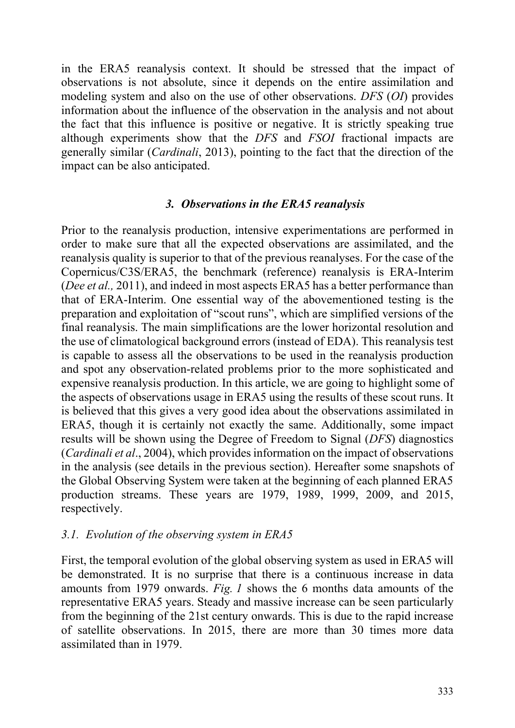in the ERA5 reanalysis context. It should be stressed that the impact of observations is not absolute, since it depends on the entire assimilation and modeling system and also on the use of other observations. *DFS* (*OI*) provides information about the influence of the observation in the analysis and not about the fact that this influence is positive or negative. It is strictly speaking true although experiments show that the *DFS* and *FSOI* fractional impacts are generally similar (*Cardinali*, 2013), pointing to the fact that the direction of the impact can be also anticipated.

## *3. Observations in the ERA5 reanalysis*

Prior to the reanalysis production, intensive experimentations are performed in order to make sure that all the expected observations are assimilated, and the reanalysis quality is superior to that of the previous reanalyses. For the case of the Copernicus/C3S/ERA5, the benchmark (reference) reanalysis is ERA-Interim (*Dee et al.,* 2011), and indeed in most aspects ERA5 has a better performance than that of ERA-Interim. One essential way of the abovementioned testing is the preparation and exploitation of "scout runs", which are simplified versions of the final reanalysis. The main simplifications are the lower horizontal resolution and the use of climatological background errors (instead of EDA). This reanalysis test is capable to assess all the observations to be used in the reanalysis production and spot any observation-related problems prior to the more sophisticated and expensive reanalysis production. In this article, we are going to highlight some of the aspects of observations usage in ERA5 using the results of these scout runs. It is believed that this gives a very good idea about the observations assimilated in ERA5, though it is certainly not exactly the same. Additionally, some impact results will be shown using the Degree of Freedom to Signal (*DFS*) diagnostics (*Cardinali et al*., 2004), which provides information on the impact of observations in the analysis (see details in the previous section). Hereafter some snapshots of the Global Observing System were taken at the beginning of each planned ERA5 production streams. These years are 1979, 1989, 1999, 2009, and 2015, respectively.

# *3.1. Evolution of the observing system in ERA5*

First, the temporal evolution of the global observing system as used in ERA5 will be demonstrated. It is no surprise that there is a continuous increase in data amounts from 1979 onwards. *Fig. 1* shows the 6 months data amounts of the representative ERA5 years. Steady and massive increase can be seen particularly from the beginning of the 21st century onwards. This is due to the rapid increase of satellite observations. In 2015, there are more than 30 times more data assimilated than in 1979.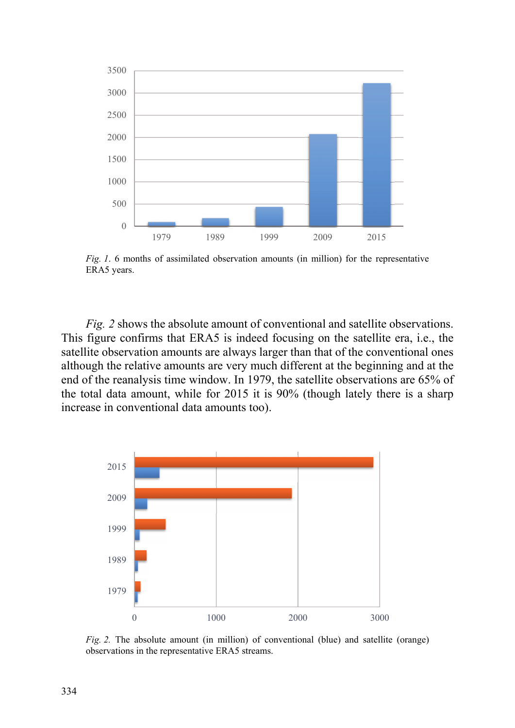

*Fig. 1*. 6 months of assimilated observation amounts (in million) for the representative ERA5 years.

*Fig. 2* shows the absolute amount of conventional and satellite observations. This figure confirms that ERA5 is indeed focusing on the satellite era, i.e., the satellite observation amounts are always larger than that of the conventional ones although the relative amounts are very much different at the beginning and at the end of the reanalysis time window. In 1979, the satellite observations are 65% of the total data amount, while for 2015 it is 90% (though lately there is a sharp increase in conventional data amounts too).



*Fig. 2.* The absolute amount (in million) of conventional (blue) and satellite (orange) observations in the representative ERA5 streams.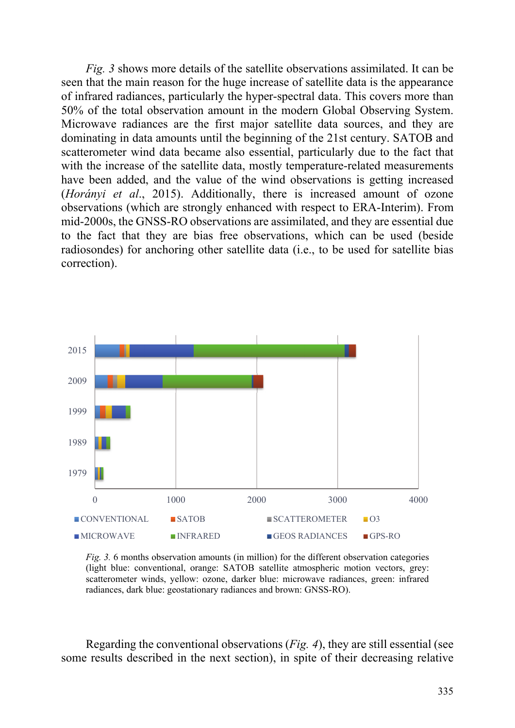*Fig. 3* shows more details of the satellite observations assimilated. It can be seen that the main reason for the huge increase of satellite data is the appearance of infrared radiances, particularly the hyper-spectral data. This covers more than 50% of the total observation amount in the modern Global Observing System. Microwave radiances are the first major satellite data sources, and they are dominating in data amounts until the beginning of the 21st century. SATOB and scatterometer wind data became also essential, particularly due to the fact that with the increase of the satellite data, mostly temperature-related measurements have been added, and the value of the wind observations is getting increased (*Horányi et al*., 2015). Additionally, there is increased amount of ozone observations (which are strongly enhanced with respect to ERA-Interim). From mid-2000s, the GNSS-RO observations are assimilated, and they are essential due to the fact that they are bias free observations, which can be used (beside radiosondes) for anchoring other satellite data (i.e., to be used for satellite bias correction).



*Fig. 3.* 6 months observation amounts (in million) for the different observation categories (light blue: conventional, orange: SATOB satellite atmospheric motion vectors, grey: scatterometer winds, yellow: ozone, darker blue: microwave radiances, green: infrared radiances, dark blue: geostationary radiances and brown: GNSS-RO).

Regarding the conventional observations (*Fig. 4*), they are still essential (see some results described in the next section), in spite of their decreasing relative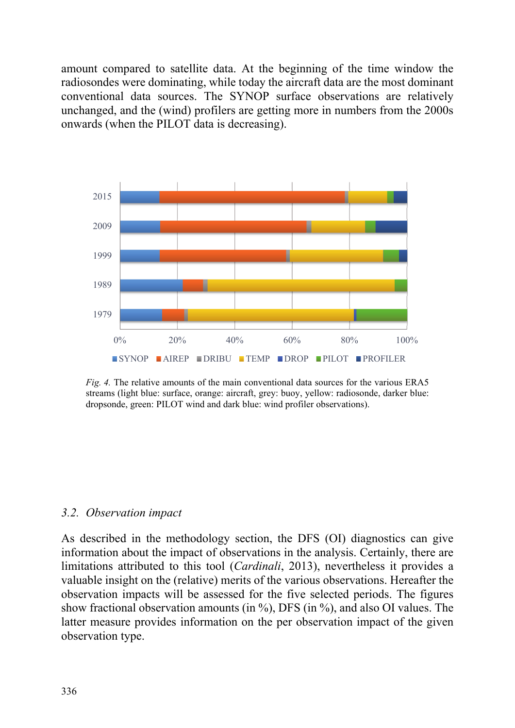amount compared to satellite data. At the beginning of the time window the radiosondes were dominating, while today the aircraft data are the most dominant conventional data sources. The SYNOP surface observations are relatively unchanged, and the (wind) profilers are getting more in numbers from the 2000s onwards (when the PILOT data is decreasing).



*Fig. 4.* The relative amounts of the main conventional data sources for the various ERA5 streams (light blue: surface, orange: aircraft, grey: buoy, yellow: radiosonde, darker blue: dropsonde, green: PILOT wind and dark blue: wind profiler observations).

#### *3.2. Observation impact*

As described in the methodology section, the DFS (OI) diagnostics can give information about the impact of observations in the analysis. Certainly, there are limitations attributed to this tool (*Cardinali*, 2013), nevertheless it provides a valuable insight on the (relative) merits of the various observations. Hereafter the observation impacts will be assessed for the five selected periods. The figures show fractional observation amounts (in %), DFS (in %), and also OI values. The latter measure provides information on the per observation impact of the given observation type.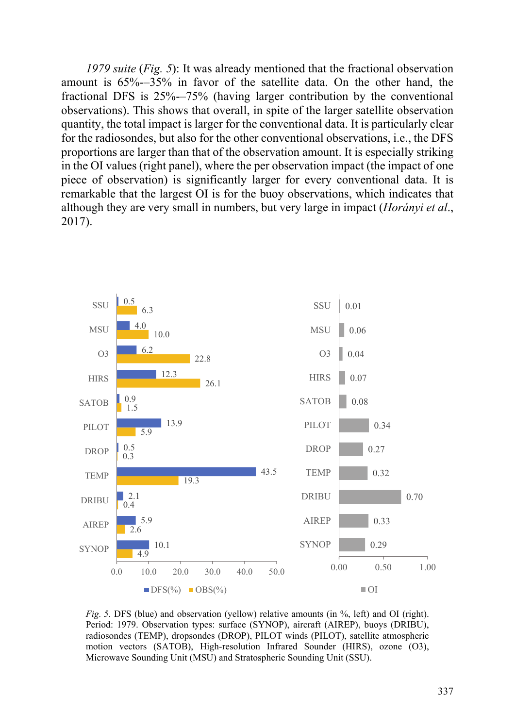*1979 suite* (*Fig. 5*): It was already mentioned that the fractional observation amount is 65%-–35% in favor of the satellite data. On the other hand, the fractional DFS is 25%-–75% (having larger contribution by the conventional observations). This shows that overall, in spite of the larger satellite observation quantity, the total impact is larger for the conventional data. It is particularly clear for the radiosondes, but also for the other conventional observations, i.e., the DFS proportions are larger than that of the observation amount. It is especially striking in the OI values (right panel), where the per observation impact (the impact of one piece of observation) is significantly larger for every conventional data. It is remarkable that the largest OI is for the buoy observations, which indicates that although they are very small in numbers, but very large in impact (*Horányi et al*., 2017).



*Fig. 5*. DFS (blue) and observation (yellow) relative amounts (in %, left) and OI (right). Period: 1979. Observation types: surface (SYNOP), aircraft (AIREP), buoys (DRIBU), radiosondes (TEMP), dropsondes (DROP), PILOT winds (PILOT), satellite atmospheric motion vectors (SATOB), High-resolution Infrared Sounder (HIRS), ozone (O3), Microwave Sounding Unit (MSU) and Stratospheric Sounding Unit (SSU).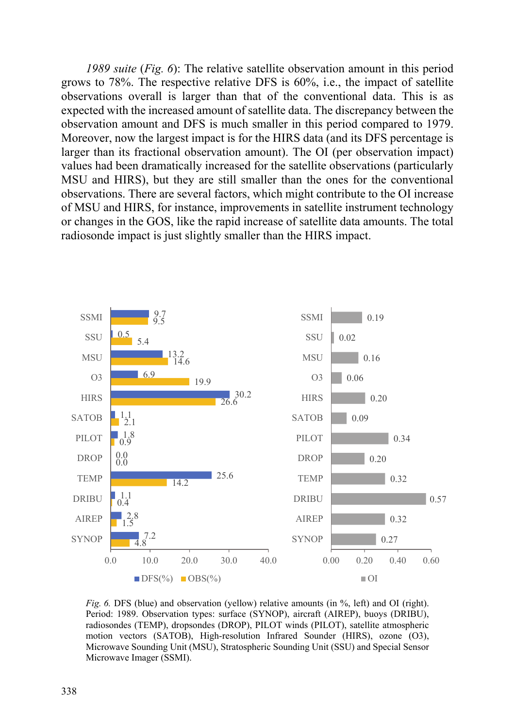*1989 suite* (*Fig. 6*): The relative satellite observation amount in this period grows to 78%. The respective relative DFS is 60%, i.e., the impact of satellite observations overall is larger than that of the conventional data. This is as expected with the increased amount of satellite data. The discrepancy between the observation amount and DFS is much smaller in this period compared to 1979. Moreover, now the largest impact is for the HIRS data (and its DFS percentage is larger than its fractional observation amount). The OI (per observation impact) values had been dramatically increased for the satellite observations (particularly MSU and HIRS), but they are still smaller than the ones for the conventional observations. There are several factors, which might contribute to the OI increase of MSU and HIRS, for instance, improvements in satellite instrument technology or changes in the GOS, like the rapid increase of satellite data amounts. The total radiosonde impact is just slightly smaller than the HIRS impact.



*Fig. 6.* DFS (blue) and observation (yellow) relative amounts (in %, left) and OI (right). Period: 1989. Observation types: surface (SYNOP), aircraft (AIREP), buoys (DRIBU), radiosondes (TEMP), dropsondes (DROP), PILOT winds (PILOT), satellite atmospheric motion vectors (SATOB), High-resolution Infrared Sounder (HIRS), ozone (O3), Microwave Sounding Unit (MSU), Stratospheric Sounding Unit (SSU) and Special Sensor Microwave Imager (SSMI).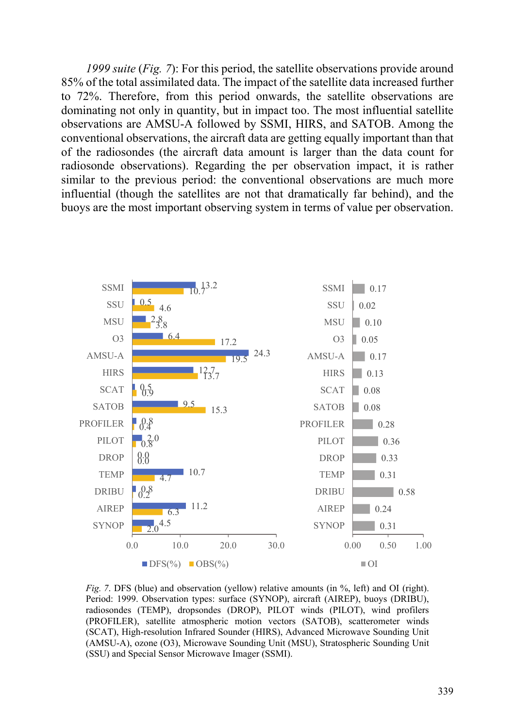*1999 suite* (*Fig. 7*): For this period, the satellite observations provide around 85% of the total assimilated data. The impact of the satellite data increased further to 72%. Therefore, from this period onwards, the satellite observations are dominating not only in quantity, but in impact too. The most influential satellite observations are AMSU-A followed by SSMI, HIRS, and SATOB. Among the conventional observations, the aircraft data are getting equally important than that of the radiosondes (the aircraft data amount is larger than the data count for radiosonde observations). Regarding the per observation impact, it is rather similar to the previous period: the conventional observations are much more influential (though the satellites are not that dramatically far behind), and the buoys are the most important observing system in terms of value per observation.



*Fig. 7.* DFS (blue) and observation (yellow) relative amounts (in %, left) and OI (right). Period: 1999. Observation types: surface (SYNOP), aircraft (AIREP), buoys (DRIBU), radiosondes (TEMP), dropsondes (DROP), PILOT winds (PILOT), wind profilers (PROFILER), satellite atmospheric motion vectors (SATOB), scatterometer winds (SCAT), High-resolution Infrared Sounder (HIRS), Advanced Microwave Sounding Unit (AMSU-A), ozone (O3), Microwave Sounding Unit (MSU), Stratospheric Sounding Unit (SSU) and Special Sensor Microwave Imager (SSMI).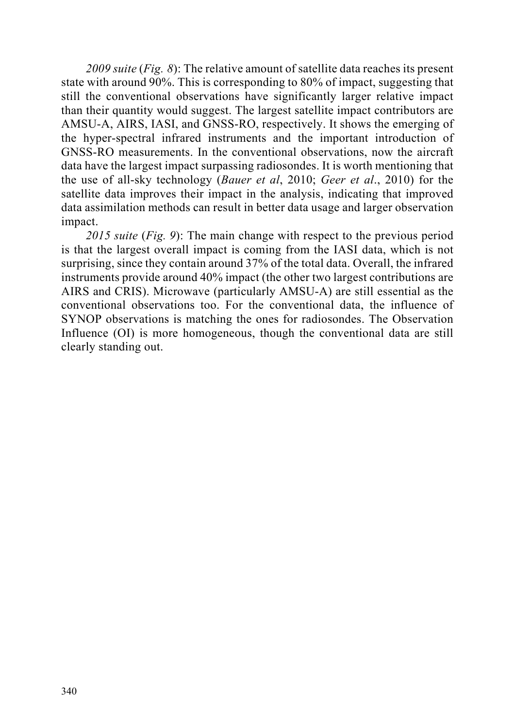*2009 suite* (*Fig. 8*): The relative amount of satellite data reaches its present state with around 90%. This is corresponding to 80% of impact, suggesting that still the conventional observations have significantly larger relative impact than their quantity would suggest. The largest satellite impact contributors are AMSU-A, AIRS, IASI, and GNSS-RO, respectively. It shows the emerging of the hyper-spectral infrared instruments and the important introduction of GNSS-RO measurements. In the conventional observations, now the aircraft data have the largest impact surpassing radiosondes. It is worth mentioning that the use of all-sky technology (*Bauer et al*, 2010; *Geer et al*., 2010) for the satellite data improves their impact in the analysis, indicating that improved data assimilation methods can result in better data usage and larger observation impact.

*2015 suite* (*Fig. 9*): The main change with respect to the previous period is that the largest overall impact is coming from the IASI data, which is not surprising, since they contain around 37% of the total data. Overall, the infrared instruments provide around 40% impact (the other two largest contributions are AIRS and CRIS). Microwave (particularly AMSU-A) are still essential as the conventional observations too. For the conventional data, the influence of SYNOP observations is matching the ones for radiosondes. The Observation Influence (OI) is more homogeneous, though the conventional data are still clearly standing out.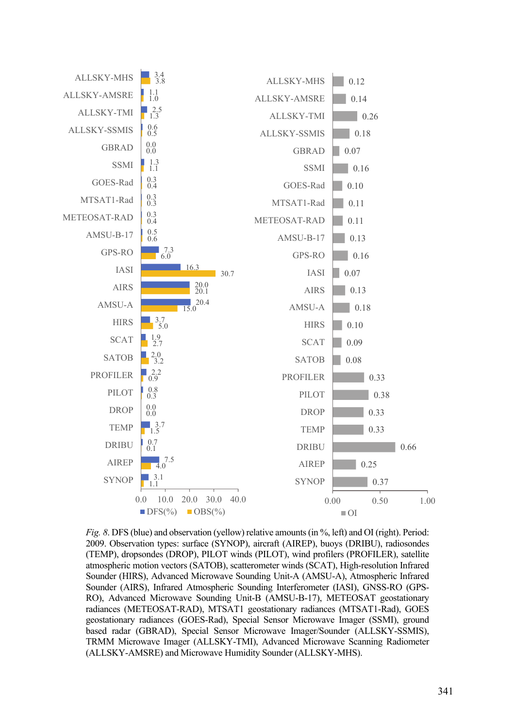

*Fig. 8*. DFS (blue) and observation (yellow) relative amounts (in %, left) and OI (right). Period: 2009. Observation types: surface (SYNOP), aircraft (AIREP), buoys (DRIBU), radiosondes (TEMP), dropsondes (DROP), PILOT winds (PILOT), wind profilers (PROFILER), satellite atmospheric motion vectors (SATOB), scatterometer winds (SCAT), High-resolution Infrared Sounder (HIRS), Advanced Microwave Sounding Unit-A (AMSU-A), Atmospheric Infrared Sounder (AIRS), Infrared Atmospheric Sounding Interferometer (IASI), GNSS-RO (GPS-RO), Advanced Microwave Sounding Unit-B (AMSU-B-17), METEOSAT geostationary radiances (METEOSAT-RAD), MTSAT1 geostationary radiances (MTSAT1-Rad), GOES geostationary radiances (GOES-Rad), Special Sensor Microwave Imager (SSMI), ground based radar (GBRAD), Special Sensor Microwave Imager/Sounder (ALLSKY-SSMIS), TRMM Microwave Imager (ALLSKY-TMI), Advanced Microwave Scanning Radiometer (ALLSKY-AMSRE) and Microwave Humidity Sounder (ALLSKY-MHS).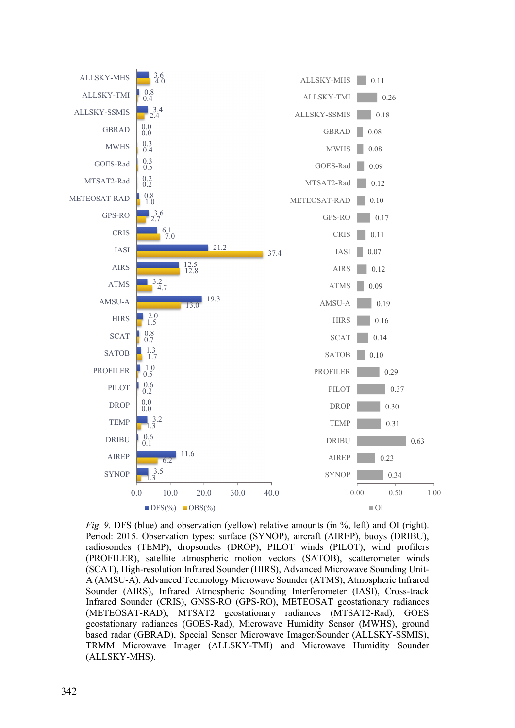

*Fig. 9.* DFS (blue) and observation (yellow) relative amounts (in %, left) and OI (right). Period: 2015. Observation types: surface (SYNOP), aircraft (AIREP), buoys (DRIBU), radiosondes (TEMP), dropsondes (DROP), PILOT winds (PILOT), wind profilers (PROFILER), satellite atmospheric motion vectors (SATOB), scatterometer winds (SCAT), High-resolution Infrared Sounder (HIRS), Advanced Microwave Sounding Unit-A (AMSU-A), Advanced Technology Microwave Sounder (ATMS), Atmospheric Infrared Sounder (AIRS), Infrared Atmospheric Sounding Interferometer (IASI), Cross-track Infrared Sounder (CRIS), GNSS-RO (GPS-RO), METEOSAT geostationary radiances (METEOSAT-RAD), MTSAT2 geostationary radiances (MTSAT2-Rad), GOES geostationary radiances (GOES-Rad), Microwave Humidity Sensor (MWHS), ground based radar (GBRAD), Special Sensor Microwave Imager/Sounder (ALLSKY-SSMIS), TRMM Microwave Imager (ALLSKY-TMI) and Microwave Humidity Sounder (ALLSKY-MHS).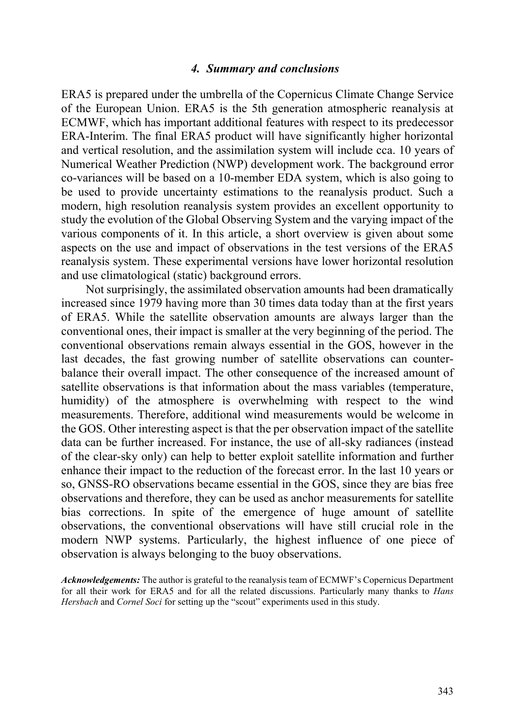#### *4. Summary and conclusions*

ERA5 is prepared under the umbrella of the Copernicus Climate Change Service of the European Union. ERA5 is the 5th generation atmospheric reanalysis at ECMWF, which has important additional features with respect to its predecessor ERA-Interim. The final ERA5 product will have significantly higher horizontal and vertical resolution, and the assimilation system will include cca. 10 years of Numerical Weather Prediction (NWP) development work. The background error co-variances will be based on a 10-member EDA system, which is also going to be used to provide uncertainty estimations to the reanalysis product. Such a modern, high resolution reanalysis system provides an excellent opportunity to study the evolution of the Global Observing System and the varying impact of the various components of it. In this article, a short overview is given about some aspects on the use and impact of observations in the test versions of the ERA5 reanalysis system. These experimental versions have lower horizontal resolution and use climatological (static) background errors.

Not surprisingly, the assimilated observation amounts had been dramatically increased since 1979 having more than 30 times data today than at the first years of ERA5. While the satellite observation amounts are always larger than the conventional ones, their impact is smaller at the very beginning of the period. The conventional observations remain always essential in the GOS, however in the last decades, the fast growing number of satellite observations can counterbalance their overall impact. The other consequence of the increased amount of satellite observations is that information about the mass variables (temperature, humidity) of the atmosphere is overwhelming with respect to the wind measurements. Therefore, additional wind measurements would be welcome in the GOS. Other interesting aspect is that the per observation impact of the satellite data can be further increased. For instance, the use of all-sky radiances (instead of the clear-sky only) can help to better exploit satellite information and further enhance their impact to the reduction of the forecast error. In the last 10 years or so, GNSS-RO observations became essential in the GOS, since they are bias free observations and therefore, they can be used as anchor measurements for satellite bias corrections. In spite of the emergence of huge amount of satellite observations, the conventional observations will have still crucial role in the modern NWP systems. Particularly, the highest influence of one piece of observation is always belonging to the buoy observations.

*Acknowledgements:* The author is grateful to the reanalysis team of ECMWF's Copernicus Department for all their work for ERA5 and for all the related discussions. Particularly many thanks to *Hans Hersbach* and *Cornel Soci* for setting up the "scout" experiments used in this study.